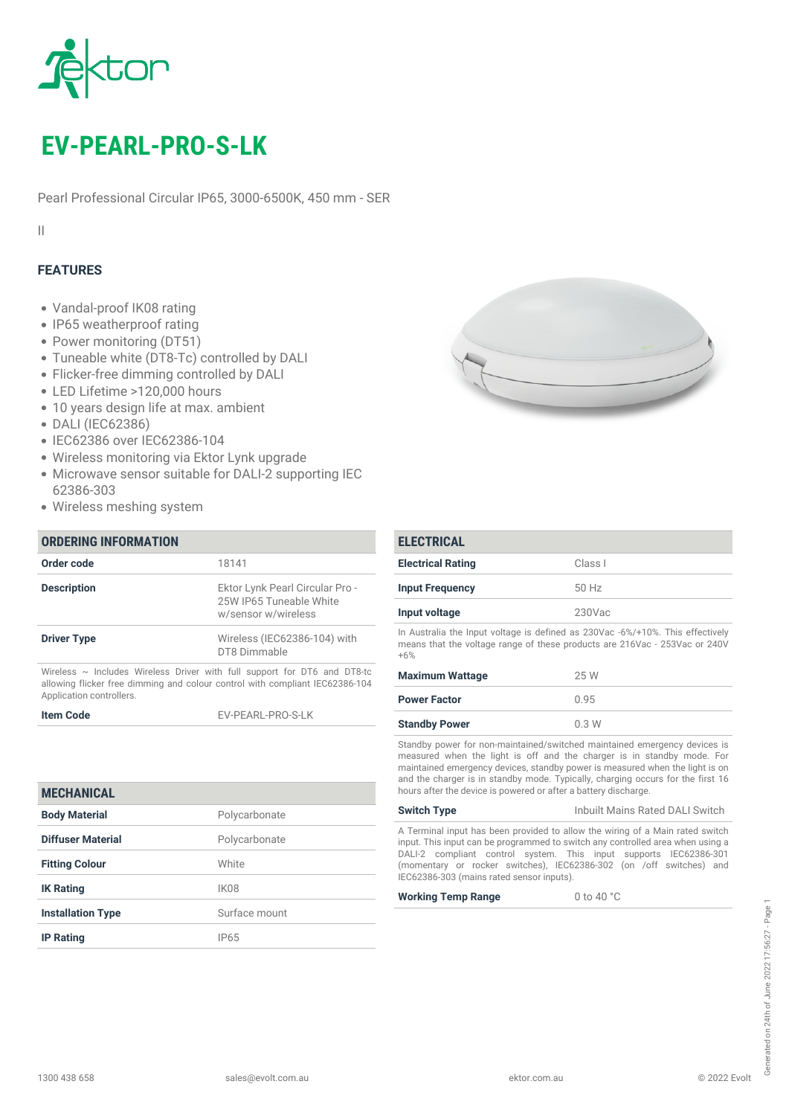

# *EV-PEARL-PRO-S-LK*

*Pearl Professional Circular IP65, 3000-6500K, 450 mm - SER*

*II*

### *FEATURES*

- *Vandal-proof IK08 rating*
- *IP65 weatherproof rating*
- *Power monitoring (DT51)*
- *Tuneable white (DT8-Tc) controlled by DALI*
- *Flicker-free dimming controlled by DALI*
- *LED Lifetime >120,000 hours*
- *10 years design life at max. ambient*
- *DALI (IEC62386)*
- *IEC62386 over IEC62386-104*
- *Wireless monitoring via Ektor Lynk upgrade*
- *Microwave sensor suitable for DALI-2 supporting IEC 62386-303*
- *Wireless meshing system*

*ORDERING INFORMATION*

| Order code                                                                                                                                                                                | 18141                                                                             |
|-------------------------------------------------------------------------------------------------------------------------------------------------------------------------------------------|-----------------------------------------------------------------------------------|
| <b>Description</b>                                                                                                                                                                        | Ektor Lynk Pearl Circular Pro -<br>25W IP65 Tuneable White<br>w/sensor w/wireless |
| <b>Driver Type</b>                                                                                                                                                                        | Wireless (IEC62386-104) with<br>DT8 Dimmable                                      |
| Wireless $\sim$ Includes Wireless Driver with full support for DT6 and DT8-tc<br>allowing flicker free dimming and colour control with compliant IEC62386-104<br>Application controllers. |                                                                                   |
| <b>Item Code</b>                                                                                                                                                                          | <b>FV-PFARI-PRO-S-IK</b>                                                          |
| <b>MECHANICAL</b>                                                                                                                                                                         |                                                                                   |
| <b>Body Material</b>                                                                                                                                                                      | Polycarbonate                                                                     |
| <b>Diffuser Material</b>                                                                                                                                                                  | Polycarbonate                                                                     |
| <b>Fitting Colour</b>                                                                                                                                                                     | White                                                                             |
| <b>IK Rating</b>                                                                                                                                                                          | IK08                                                                              |
| <b>Installation Type</b>                                                                                                                                                                  | Surface mount                                                                     |

*Electrical Rating Class I Input Frequency 50 Hz Input voltage 230Vac In Australia the Input voltage is defined as 230Vac -6%/+10%. This effectively means that the voltage range of these products are 216Vac - 253Vac or 240V +6% Maximum Wattage 25 W*

| <b>Power Factor</b>  | 0.95 |
|----------------------|------|
| <b>Standby Power</b> | 0.3W |

*Standby power for non-maintained/switched maintained emergency devices is measured when the light is off and the charger is in standby mode. For maintained emergency devices, standby power is measured when the light is on and the charger is in standby mode. Typically, charging occurs for the first 16 hours after the device is powered or after a battery discharge.*

| <b>Switch Type</b>                                                            |  | Inbuilt Mains Rated DALI Switch |  |  |
|-------------------------------------------------------------------------------|--|---------------------------------|--|--|
| A Terminal input has been provided to allow the wiring of a Main rated switch |  |                                 |  |  |

*input. This input can be programmed to switch any controlled area when using a DALI-2 compliant control system. This input supports IEC62386-301 (momentary or rocker switches), IEC62386-302 (on /off switches) and IEC62386-303 (mains rated sensor inputs).*

*Working Temp Range 0 to 40 °C*

*ELECTRICAL*

*IP Rating IP65*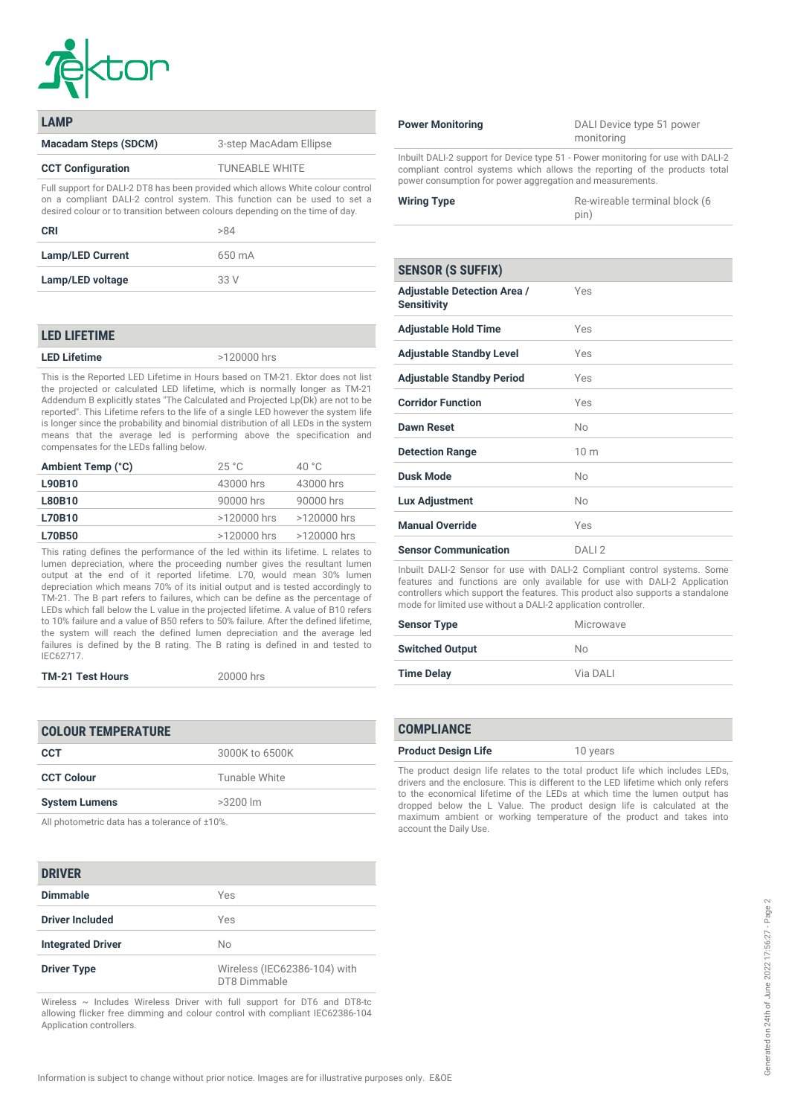

| <b>LAMP</b>                                                                                                                                                                                                                                  |                        |
|----------------------------------------------------------------------------------------------------------------------------------------------------------------------------------------------------------------------------------------------|------------------------|
| <b>Macadam Steps (SDCM)</b>                                                                                                                                                                                                                  | 3-step MacAdam Ellipse |
| <b>CCT Configuration</b>                                                                                                                                                                                                                     | <b>TUNEABLE WHITE</b>  |
| Full support for DALI-2 DT8 has been provided which allows White colour control<br>on a compliant DALI-2 control system. This function can be used to set a<br>desired colour or to transition between colours depending on the time of day. |                        |

| <b>CRI</b>              | >84    |
|-------------------------|--------|
| <b>Lamp/LED Current</b> | 650 mA |
| Lamp/LED voltage        | 33 V   |

#### *LED LIFETIME*

*LED Lifetime >120000 hrs*

*This is the Reported LED Lifetime in Hours based on TM-21. Ektor does not list the projected or calculated LED lifetime, which is normally longer as TM-21 Addendum B explicitly states "The Calculated and Projected Lp(Dk) are not to be reported". This Lifetime refers to the life of a single LED however the system life is longer since the probability and binomial distribution of all LEDs in the system means that the average led is performing above the specification and compensates for the LEDs falling below.*

| Ambient Temp (°C) | 25 °C         | 40 $^{\circ}$ C |
|-------------------|---------------|-----------------|
| L90B10            | 43000 hrs     | 43000 hrs       |
| <b>L80B10</b>     | 90000 hrs     | 90000 hrs       |
| <b>L70B10</b>     | $>120000$ hrs | >120000 hrs     |
| <b>L70B50</b>     | $>120000$ hrs | >120000 hrs     |

*This rating defines the performance of the led within its lifetime. L relates to lumen depreciation, where the proceeding number gives the resultant lumen output at the end of it reported lifetime. L70, would mean 30% lumen depreciation which means 70% of its initial output and is tested accordingly to TM-21. The B part refers to failures, which can be define as the percentage of LEDs which fall below the L value in the projected lifetime. A value of B10 refers to 10% failure and a value of B50 refers to 50% failure. After the defined lifetime, the system will reach the defined lumen depreciation and the average led failures is defined by the B rating. The B rating is defined in and tested to IEC62717.*

| <b>TM-21 Test Hours</b> | 20000 hrs |  |
|-------------------------|-----------|--|
|                         |           |  |

| <b>COLOUR TEMPERATURE</b> |                   |
|---------------------------|-------------------|
| <b>CCT</b>                | 3000K to 6500K    |
| <b>CCT Colour</b>         | Tunable White     |
| <b>System Lumens</b>      | $>3200$ $\rm{Im}$ |

*All photometric data has a tolerance of ±10%.*

### *DRIVER*

| <b>Dimmable</b>          | Yes                                          |
|--------------------------|----------------------------------------------|
| <b>Driver Included</b>   | Yes                                          |
| <b>Integrated Driver</b> | Nο                                           |
| <b>Driver Type</b>       | Wireless (IEC62386-104) with<br>DT8 Dimmable |

*Wireless ~ Includes Wireless Driver with full support for DT6 and DT8-tc allowing flicker free dimming and colour control with compliant IEC62386-104 Application controllers.*

| <b>Power Monitoring</b> |  |
|-------------------------|--|
|-------------------------|--|

*Power Monitoring DALI Device type 51 power monitoring*

*Inbuilt DALI-2 support for Device type 51 - Power monitoring for use with DALI-2 compliant control systems which allows the reporting of the products total power consumption for power aggregation and measurements.*

| <b>Wiring Type</b> | Re-wireable terminal block (6 |
|--------------------|-------------------------------|
|                    | pin)                          |

## *SENSOR (S SUFFIX) Adjustable Detection Area / Sensitivity Yes Adjustable Hold Time Yes Adjustable Standby Level Yes Adjustable Standby Period Yes Corridor Function Yes Dawn Reset No Detection Range 10 m Dusk Mode No Lux Adjustment No Manual Override Yes Sensor Communication DALI 2*

*Inbuilt DALI-2 Sensor for use with DALI-2 Compliant control systems. Some features and functions are only available for use with DALI-2 Application controllers which support the features. This product also supports a standalone mode for limited use without a DALI-2 application controller.*

| <b>Sensor Type</b>     | Microwave |
|------------------------|-----------|
| <b>Switched Output</b> | No        |
| <b>Time Delay</b>      | Via DALL  |

### *COMPLIANCE*

| <b>Product Design Life</b> | 10 years |
|----------------------------|----------|
|                            |          |

*The product design life relates to the total product life which includes LEDs, drivers and the enclosure. This is different to the LED lifetime which only refers to the economical lifetime of the LEDs at which time the lumen output has dropped below the L Value. The product design life is calculated at the maximum ambient or working temperature of the product and takes into account the Daily Use.*